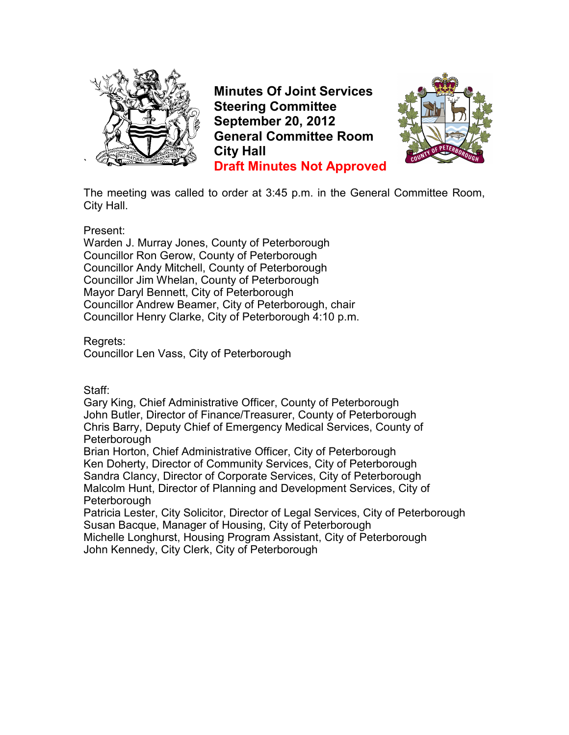

**Minutes Of Joint Services Steering Committee September 20, 2012 General Committee Room City Hall Draft Minutes Not Approved**



The meeting was called to order at 3:45 p.m. in the General Committee Room, City Hall.

Present:

Warden J. Murray Jones, County of Peterborough Councillor Ron Gerow, County of Peterborough Councillor Andy Mitchell, County of Peterborough Councillor Jim Whelan, County of Peterborough Mayor Daryl Bennett, City of Peterborough Councillor Andrew Beamer, City of Peterborough, chair Councillor Henry Clarke, City of Peterborough 4:10 p.m.

Regrets:

Councillor Len Vass, City of Peterborough

Staff:

Gary King, Chief Administrative Officer, County of Peterborough John Butler, Director of Finance/Treasurer, County of Peterborough Chris Barry, Deputy Chief of Emergency Medical Services, County of **Peterborough** 

Brian Horton, Chief Administrative Officer, City of Peterborough Ken Doherty, Director of Community Services, City of Peterborough Sandra Clancy, Director of Corporate Services, City of Peterborough Malcolm Hunt, Director of Planning and Development Services, City of **Peterborough** 

Patricia Lester, City Solicitor, Director of Legal Services, City of Peterborough Susan Bacque, Manager of Housing, City of Peterborough

Michelle Longhurst, Housing Program Assistant, City of Peterborough John Kennedy, City Clerk, City of Peterborough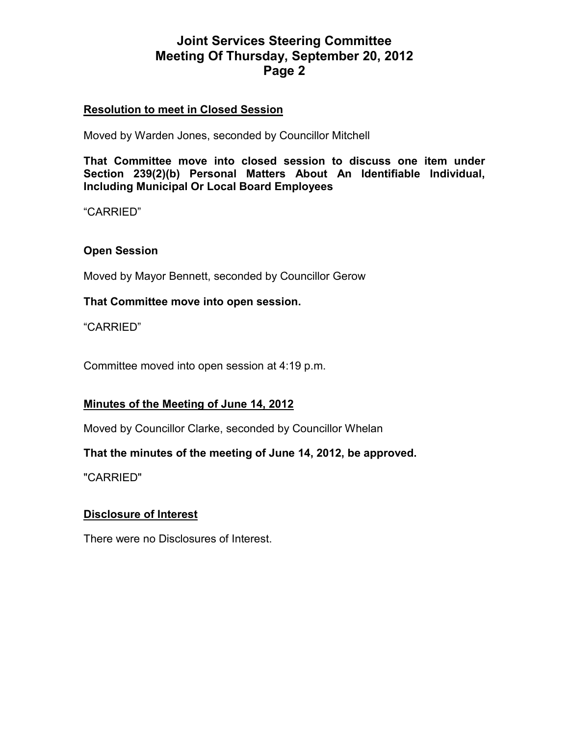# **Resolution to meet in Closed Session**

Moved by Warden Jones, seconded by Councillor Mitchell

**That Committee move into closed session to discuss one item under Section 239(2)(b) Personal Matters About An Identifiable Individual, Including Municipal Or Local Board Employees** 

"CARRIED"

# **Open Session**

Moved by Mayor Bennett, seconded by Councillor Gerow

#### **That Committee move into open session.**

"CARRIED"

Committee moved into open session at 4:19 p.m.

# **Minutes of the Meeting of June 14, 2012**

Moved by Councillor Clarke, seconded by Councillor Whelan

# **That the minutes of the meeting of June 14, 2012, be approved.**

"CARRIED"

# **Disclosure of Interest**

There were no Disclosures of Interest.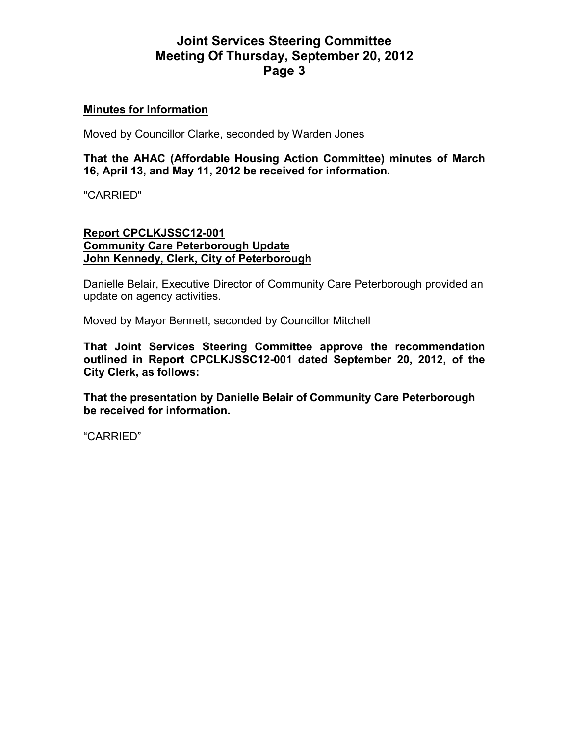# **Minutes for Information**

Moved by Councillor Clarke, seconded by Warden Jones

**That the AHAC (Affordable Housing Action Committee) minutes of March 16, April 13, and May 11, 2012 be received for information.** 

"CARRIED"

# **Report CPCLKJSSC12-001 Community Care Peterborough Update John Kennedy, Clerk, City of Peterborough**

Danielle Belair, Executive Director of Community Care Peterborough provided an update on agency activities.

Moved by Mayor Bennett, seconded by Councillor Mitchell

**That Joint Services Steering Committee approve the recommendation outlined in Report CPCLKJSSC12-001 dated September 20, 2012, of the City Clerk, as follows:** 

**That the presentation by Danielle Belair of Community Care Peterborough be received for information.**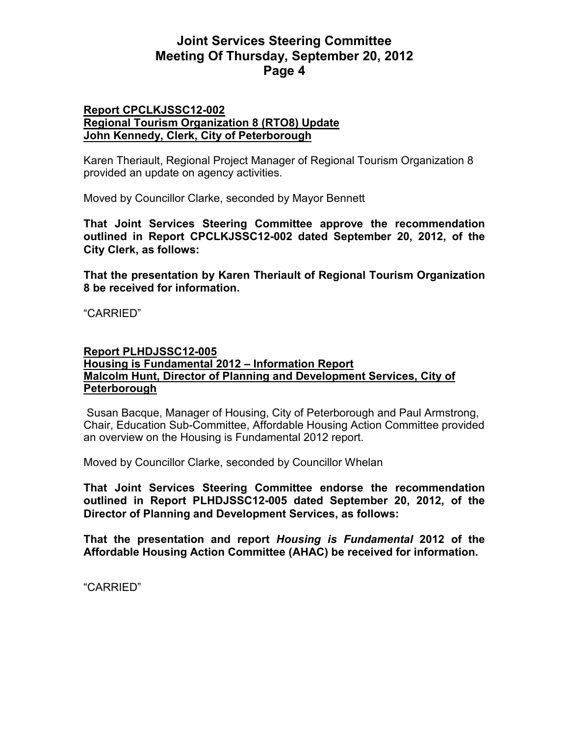#### **Report CPCLKJSSC12-002 Regional Tourism Organization 8 (RTO8) Update John Kennedy, Clerk, City of Peterborough**

Karen Theriault, Regional Project Manager of Regional Tourism Organization 8 provided an update on agency activities.

Moved by Councillor Clarke, seconded by Mayor Bennett

**That Joint Services Steering Committee approve the recommendation outlined in Report CPCLKJSSC12-002 dated September 20, 2012, of the City Clerk, as follows:** 

**That the presentation by Karen Theriault of Regional Tourism Organization 8 be received for information.** 

"CARRIED"

#### **Report PLHDJSSC12-005**

# **Housing is Fundamental 2012 – Information Report Malcolm Hunt, Director of Planning and Development Services, City of Peterborough**

 Susan Bacque, Manager of Housing, City of Peterborough and Paul Armstrong, Chair, Education Sub-Committee, Affordable Housing Action Committee provided an overview on the Housing is Fundamental 2012 report.

Moved by Councillor Clarke, seconded by Councillor Whelan

**That Joint Services Steering Committee endorse the recommendation outlined in Report PLHDJSSC12-005 dated September 20, 2012, of the Director of Planning and Development Services, as follows:** 

**That the presentation and report** *Housing is Fundamental* **2012 of the Affordable Housing Action Committee (AHAC) be received for information.**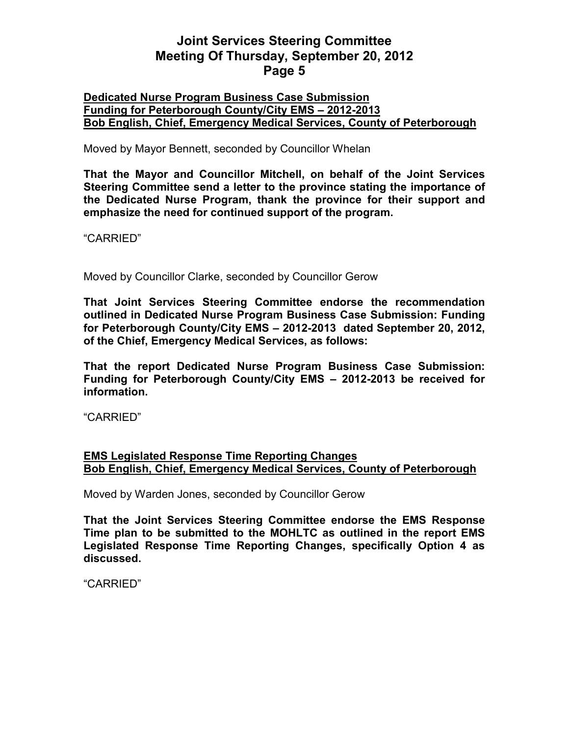# **Dedicated Nurse Program Business Case Submission Funding for Peterborough County/City EMS – 2012-2013 Bob English, Chief, Emergency Medical Services, County of Peterborough**

Moved by Mayor Bennett, seconded by Councillor Whelan

**That the Mayor and Councillor Mitchell, on behalf of the Joint Services Steering Committee send a letter to the province stating the importance of the Dedicated Nurse Program, thank the province for their support and emphasize the need for continued support of the program.** 

"CARRIED"

Moved by Councillor Clarke, seconded by Councillor Gerow

**That Joint Services Steering Committee endorse the recommendation outlined in Dedicated Nurse Program Business Case Submission: Funding for Peterborough County/City EMS – 2012-2013 dated September 20, 2012, of the Chief, Emergency Medical Services, as follows:** 

**That the report Dedicated Nurse Program Business Case Submission: Funding for Peterborough County/City EMS – 2012-2013 be received for information.** 

"CARRIED"

# **EMS Legislated Response Time Reporting Changes Bob English, Chief, Emergency Medical Services, County of Peterborough**

Moved by Warden Jones, seconded by Councillor Gerow

**That the Joint Services Steering Committee endorse the EMS Response Time plan to be submitted to the MOHLTC as outlined in the report EMS Legislated Response Time Reporting Changes, specifically Option 4 as discussed.**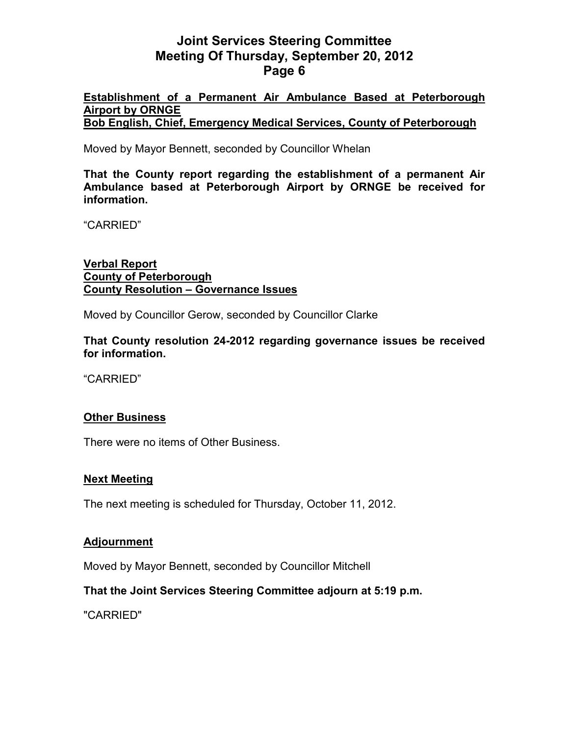# **Establishment of a Permanent Air Ambulance Based at Peterborough Airport by ORNGE**

**Bob English, Chief, Emergency Medical Services, County of Peterborough**

Moved by Mayor Bennett, seconded by Councillor Whelan

**That the County report regarding the establishment of a permanent Air Ambulance based at Peterborough Airport by ORNGE be received for information.** 

"CARRIED"

# **Verbal Report County of Peterborough County Resolution – Governance Issues**

Moved by Councillor Gerow, seconded by Councillor Clarke

**That County resolution 24-2012 regarding governance issues be received for information.** 

"CARRIED"

# **Other Business**

There were no items of Other Business.

# **Next Meeting**

The next meeting is scheduled for Thursday, October 11, 2012.

# **Adjournment**

Moved by Mayor Bennett, seconded by Councillor Mitchell

# **That the Joint Services Steering Committee adjourn at 5:19 p.m.**